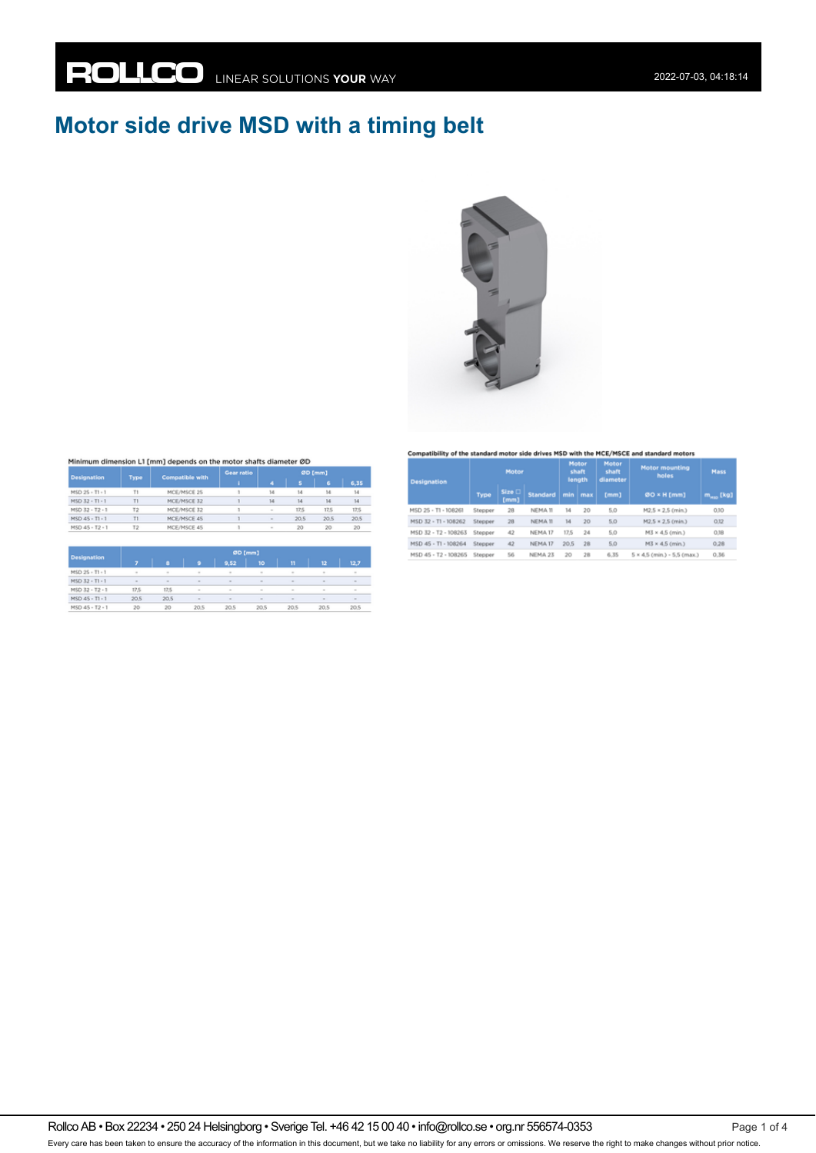# **Motor side drive MSD with a timing belt**



#### Minimum dimension L1 [mm] depends on the motor shafts diameter ØD

| <b>Designation</b> |                | <b>Compatible with</b> | Gear ratio | ØD [mm]                  |      |      |      |
|--------------------|----------------|------------------------|------------|--------------------------|------|------|------|
|                    | Type           |                        |            | ۸                        | Б    | 6    | 6,35 |
| MSD 25 - T1 - 1    | Tt             | MCE/MSCE 25            |            | 14                       | 14   | 14   | 14   |
| MSD 32 - T1 - 1    | T1             | MCE/MSCE 32            |            | 14                       | 14   | 14   | 14   |
| MSD 32 - T2 - 1    | T2             | MCE/MSCE 32            |            | $\overline{\phantom{a}}$ | 17.5 | 17.5 | 17,5 |
| MSD 45 - T1 - 1    | T1             | MCE/MSCE 45            |            | $\sim$                   | 20.5 | 20.5 | 20.5 |
| MSD 45 - T2 - 1    | T <sub>2</sub> | MCE/MSCE 45            |            | $\overline{a}$           | 20   | 20   | 20   |

| <b>Designation</b> |        | <b><i><u>WHITE</u></i></b> |        |        |        |        |                          |        |  |  |  |
|--------------------|--------|----------------------------|--------|--------|--------|--------|--------------------------|--------|--|--|--|
|                    |        |                            | ٥      | 9,52   | 10     | n      | 12                       | 12.7   |  |  |  |
| MSD 25 - T1 - 1    | $\sim$ | $\sim$                     | $\sim$ | $\sim$ | $\sim$ | $\sim$ | $\sim$                   | $\sim$ |  |  |  |
| MSD 32 - T1 - 1    | $\sim$ | $\sim$                     | $\sim$ | $\sim$ | $\sim$ | $\sim$ | $\overline{\phantom{a}}$ | $\sim$ |  |  |  |
| MSD 32 - T2 - 1    | 17,5   | 17.5                       |        | $\sim$ | $\sim$ | $\sim$ | $\sim$                   | $\sim$ |  |  |  |
| MSD 45 - T1 - 1    | 20.5   | 20.5                       | $\sim$ | $\sim$ | $\sim$ | $\sim$ | $\sim$                   | $\sim$ |  |  |  |
| MSD 45 - T2 - 1    | 20     | 20                         | 20.5   | 20.5   | 20.5   | 20.5   | 20.5                     | 20.5   |  |  |  |

#### Compatibility of the standard motor side drives MSD with the MCE/MSCE and standard motors

| <b>Designation</b>   | Motor   |                       |                 | Motor<br>shaft<br>length |     | Motor<br>shaft<br>diameter | <b>Motor mounting</b><br>holes       | Mass                    |
|----------------------|---------|-----------------------|-----------------|--------------------------|-----|----------------------------|--------------------------------------|-------------------------|
|                      | Type    | <b>Size</b> □<br>[mm] | <b>Standard</b> | min                      | max | [mm]                       | 00 × H [mm]                          | $m_{\mu\nu\sigma}$ [kg] |
| MSD 25 - T1 - 108261 | Stepper | 28                    | NEMA 11         | 14                       | 20  | 5.0                        | M2.5 × 2.5 (min.)                    | 0.10                    |
| MSD 32 - T1 - 108262 | Stepper | 28                    | NEMA 11         | 14                       | 20  | 5,0                        | M2.5 × 2.5 (min.)                    | 0,12                    |
| MSD 32 - T2 - 108263 | Stepper | 42                    | NEMA 17         | 17.5                     | 24  | 5.0                        | M3 × 4.5 (min.)                      | 0,18                    |
| MSD 45 - T1 - 108264 | Stepper | 42                    | NEMA 17         | 20,5                     | 28  | 5,0                        | M3 × 4,5 (min.)                      | 0.28                    |
| MSD 45 - T2 - 108265 | Stepper | 56                    | NEMA 23         | 20                       | 28  | 6.35                       | $5 \times 4.5$ (min.) - $5.5$ (max.) | 0.36                    |

Rollco AB • Box 22234 • 250 24 Helsingborg • Sverige Tel. +46 42 15 00 40 • info@rollco.se • org.nr 556574-0353 Every care has been taken to ensure the accuracy of the information in this document, but we take no liability for any errors or omissions. We reserve the right to make changes without prior notice.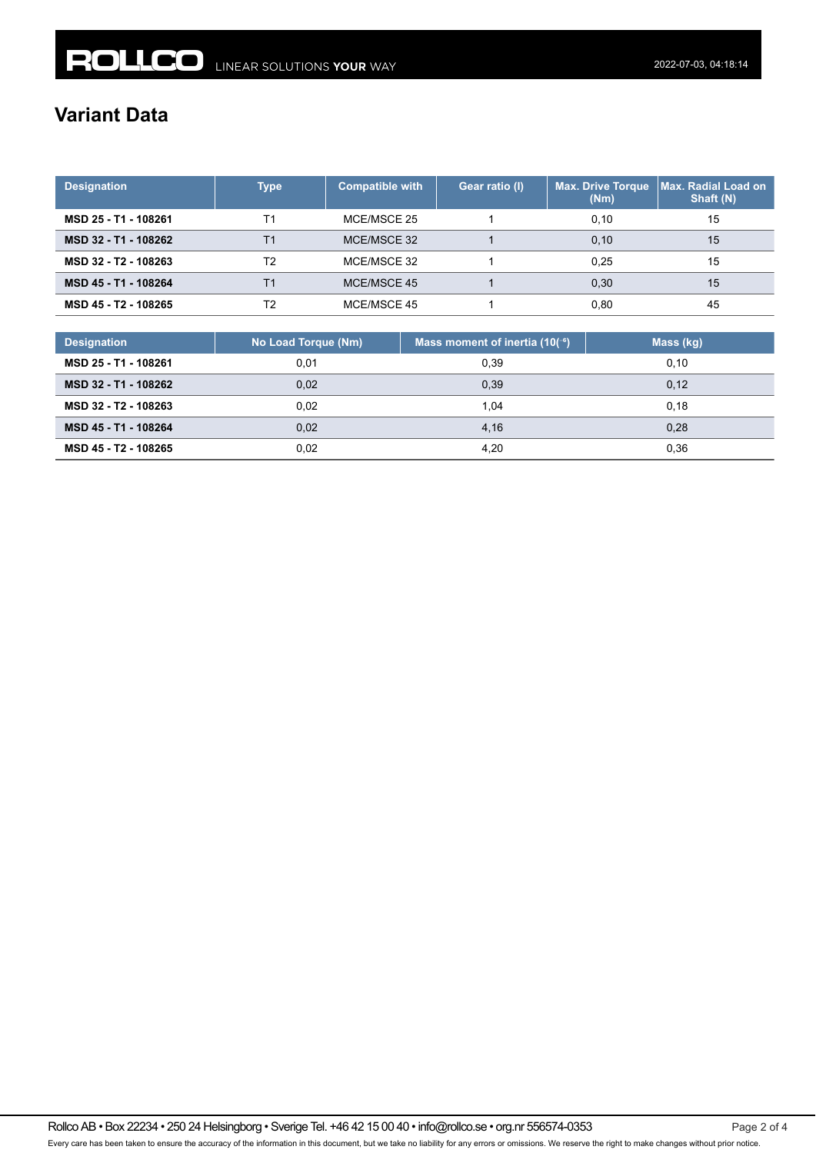## **Variant Data**

| <b>Designation</b>   | Type | <b>Compatible with</b> | Gear ratio (I) | <b>Max. Drive Torque</b><br>(Nm) | <b>Max. Radial Load on</b><br>Shaft (N) |
|----------------------|------|------------------------|----------------|----------------------------------|-----------------------------------------|
| MSD 25 - T1 - 108261 | Τ1   | MCE/MSCE 25            |                | 0.10                             | 15                                      |
| MSD 32 - T1 - 108262 | Τ1   | MCE/MSCE 32            |                | 0.10                             | 15                                      |
| MSD 32 - T2 - 108263 | T2   | MCE/MSCE 32            |                | 0.25                             | 15                                      |
| MSD 45 - T1 - 108264 | Τ1   | MCE/MSCE 45            |                | 0.30                             | 15                                      |
| MSD 45 - T2 - 108265 | T2   | MCE/MSCE 45            |                | 0.80                             | 45                                      |

| <b>Designation</b>   | No Load Torque (Nm) | Mass moment of inertia $(10^{-6})$ | Mass (kg) |
|----------------------|---------------------|------------------------------------|-----------|
| MSD 25 - T1 - 108261 | 0.01                | 0.39                               | 0.10      |
| MSD 32 - T1 - 108262 | 0,02                | 0,39                               | 0,12      |
| MSD 32 - T2 - 108263 | 0.02                | 1.04                               | 0.18      |
| MSD 45 - T1 - 108264 | 0,02                | 4.16                               | 0,28      |
| MSD 45 - T2 - 108265 | 0,02                | 4.20                               | 0,36      |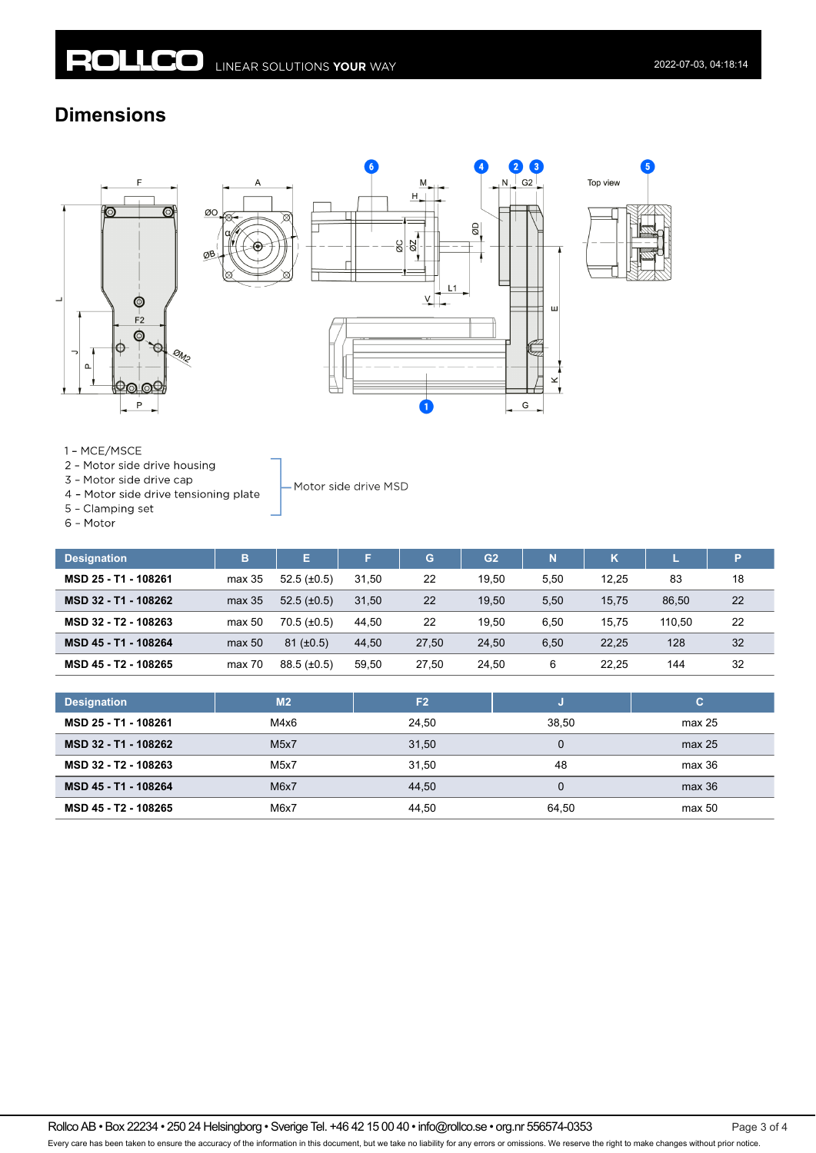ØO

### **Dimensions**







1 - MCE/MSCE

- 2 Motor side drive housing
- 3 Motor side drive cap
- 4 Motor side drive tensioning plate
- 5 Clamping set

6 - Motor

| в      | E.               | F     | G     | G <sub>2</sub> | N    | κ     |        | P  |
|--------|------------------|-------|-------|----------------|------|-------|--------|----|
| max 35 | $52.5(\pm 0.5)$  | 31.50 | 22    | 19.50          | 5,50 | 12.25 | 83     | 18 |
| max 35 | $52.5 (\pm 0.5)$ | 31.50 | 22    | 19.50          | 5,50 | 15.75 | 86.50  | 22 |
| max 50 | $70.5 (\pm 0.5)$ | 44.50 | 22    | 19.50          | 6.50 | 15.75 | 110.50 | 22 |
| max 50 | $81 (\pm 0.5)$   | 44.50 | 27.50 | 24.50          | 6,50 | 22.25 | 128    | 32 |
| max 70 | $88.5 (\pm 0.5)$ | 59.50 | 27.50 | 24.50          | 6    | 22.25 | 144    | 32 |
|        |                  |       |       |                |      |       |        |    |

- Motor side drive MSD

| <b>Designation</b>   | M <sub>2</sub>    | F <sub>2</sub> |       | С      |
|----------------------|-------------------|----------------|-------|--------|
| MSD 25 - T1 - 108261 | M4x6              | 24.50          | 38.50 | max 25 |
| MSD 32 - T1 - 108262 | M <sub>5</sub> x7 | 31,50          |       | max 25 |
| MSD 32 - T2 - 108263 | M5x7              | 31.50          | 48    | max 36 |
| MSD 45 - T1 - 108264 | M6x7              | 44.50          | 0     | max 36 |
| MSD 45 - T2 - 108265 | M6x7              | 44.50          | 64.50 | max 50 |

Rollco AB • Box 22234 • 250 24 Helsingborg • Sverige Tel. +46 42 15 00 40 • info@rollco.se • org.nr 556574-0353 Page 3 of 4